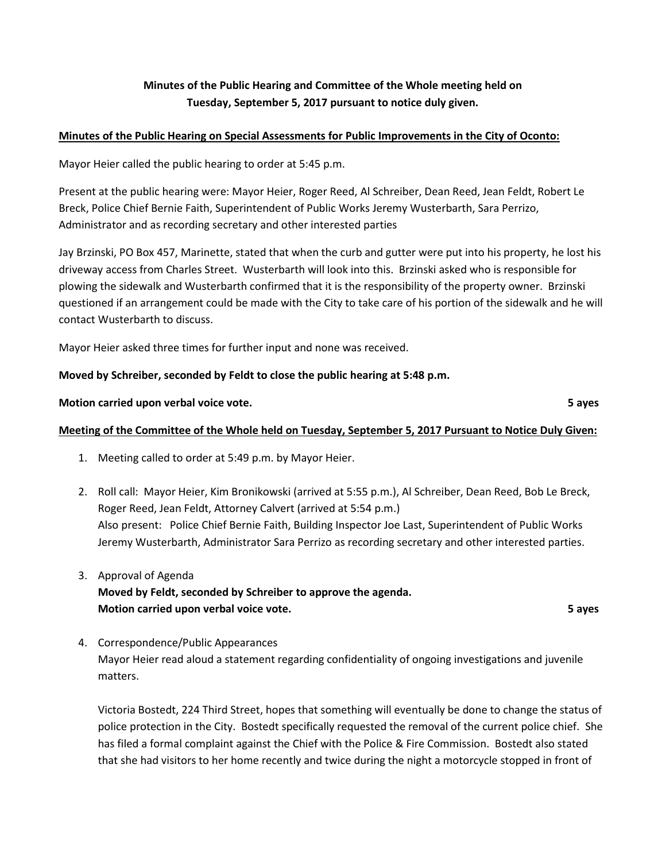# **Minutes of the Public Hearing and Committee of the Whole meeting held on Tuesday, September 5, 2017 pursuant to notice duly given.**

#### **Minutes of the Public Hearing on Special Assessments for Public Improvements in the City of Oconto:**

Mayor Heier called the public hearing to order at 5:45 p.m.

Present at the public hearing were: Mayor Heier, Roger Reed, Al Schreiber, Dean Reed, Jean Feldt, Robert Le Breck, Police Chief Bernie Faith, Superintendent of Public Works Jeremy Wusterbarth, Sara Perrizo, Administrator and as recording secretary and other interested parties

Jay Brzinski, PO Box 457, Marinette, stated that when the curb and gutter were put into his property, he lost his driveway access from Charles Street. Wusterbarth will look into this. Brzinski asked who is responsible for plowing the sidewalk and Wusterbarth confirmed that it is the responsibility of the property owner. Brzinski questioned if an arrangement could be made with the City to take care of his portion of the sidewalk and he will contact Wusterbarth to discuss.

Mayor Heier asked three times for further input and none was received.

## **Moved by Schreiber, seconded by Feldt to close the public hearing at 5:48 p.m.**

**Motion carried upon verbal voice vote. 5 ayes**

## **Meeting of the Committee of the Whole held on Tuesday, September 5, 2017 Pursuant to Notice Duly Given:**

- 1. Meeting called to order at 5:49 p.m. by Mayor Heier.
- 2. Roll call: Mayor Heier, Kim Bronikowski (arrived at 5:55 p.m.), Al Schreiber, Dean Reed, Bob Le Breck, Roger Reed, Jean Feldt, Attorney Calvert (arrived at 5:54 p.m.) Also present: Police Chief Bernie Faith, Building Inspector Joe Last, Superintendent of Public Works Jeremy Wusterbarth, Administrator Sara Perrizo as recording secretary and other interested parties.
- 3. Approval of Agenda **Moved by Feldt, seconded by Schreiber to approve the agenda. Motion carried upon verbal voice vote. 5 ayes**

4. Correspondence/Public Appearances Mayor Heier read aloud a statement regarding confidentiality of ongoing investigations and juvenile matters.

Victoria Bostedt, 224 Third Street, hopes that something will eventually be done to change the status of police protection in the City. Bostedt specifically requested the removal of the current police chief. She has filed a formal complaint against the Chief with the Police & Fire Commission. Bostedt also stated that she had visitors to her home recently and twice during the night a motorcycle stopped in front of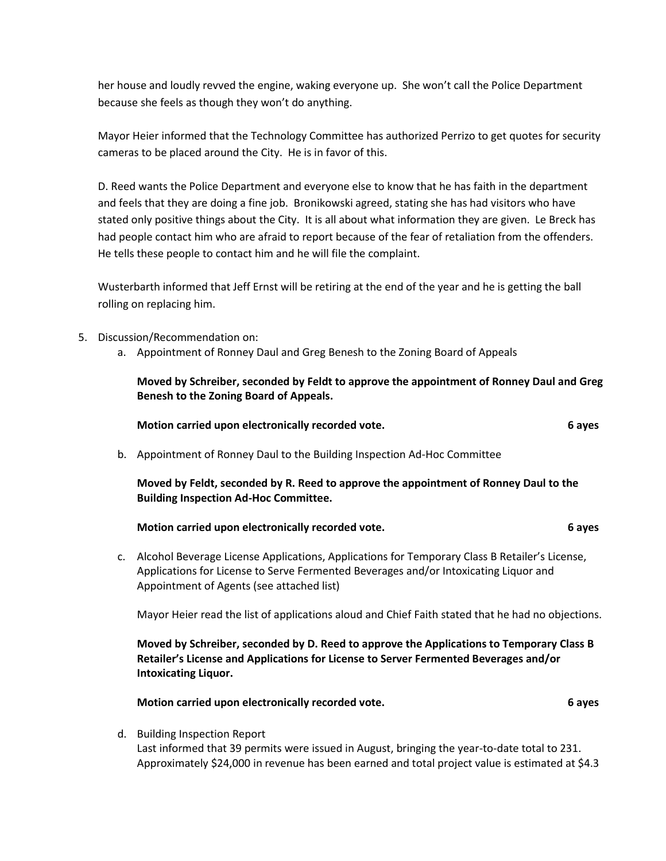her house and loudly revved the engine, waking everyone up. She won't call the Police Department because she feels as though they won't do anything.

Mayor Heier informed that the Technology Committee has authorized Perrizo to get quotes for security cameras to be placed around the City. He is in favor of this.

D. Reed wants the Police Department and everyone else to know that he has faith in the department and feels that they are doing a fine job. Bronikowski agreed, stating she has had visitors who have stated only positive things about the City. It is all about what information they are given. Le Breck has had people contact him who are afraid to report because of the fear of retaliation from the offenders. He tells these people to contact him and he will file the complaint.

Wusterbarth informed that Jeff Ernst will be retiring at the end of the year and he is getting the ball rolling on replacing him.

5. Discussion/Recommendation on:

**Intoxicating Liquor.**

d. Building Inspection Report

a. Appointment of Ronney Daul and Greg Benesh to the Zoning Board of Appeals

**Moved by Schreiber, seconded by Feldt to approve the appointment of Ronney Daul and Greg Benesh to the Zoning Board of Appeals.**

|    | Motion carried upon electronically recorded vote.                                                                                                                                                                                  | 6 ayes |  |  |
|----|------------------------------------------------------------------------------------------------------------------------------------------------------------------------------------------------------------------------------------|--------|--|--|
| b. | Appointment of Ronney Daul to the Building Inspection Ad-Hoc Committee                                                                                                                                                             |        |  |  |
|    | Moved by Feldt, seconded by R. Reed to approve the appointment of Ronney Daul to the<br><b>Building Inspection Ad-Hoc Committee.</b>                                                                                               |        |  |  |
|    | Motion carried upon electronically recorded vote.                                                                                                                                                                                  | 6 ayes |  |  |
| c. | Alcohol Beverage License Applications, Applications for Temporary Class B Retailer's License,<br>Applications for License to Serve Fermented Beverages and/or Intoxicating Liquor and<br>Appointment of Agents (see attached list) |        |  |  |
|    | Mayor Heier read the list of applications aloud and Chief Faith stated that he had no objections.                                                                                                                                  |        |  |  |
|    | Moved by Schreiber, seconded by D. Reed to approve the Applications to Temporary Class B                                                                                                                                           |        |  |  |

**Retailer's License and Applications for License to Server Fermented Beverages and/or** 

**Motion carried upon electronically recorded vote. 6 ayes**

Last informed that 39 permits were issued in August, bringing the year-to-date total to 231. Approximately \$24,000 in revenue has been earned and total project value is estimated at \$4.3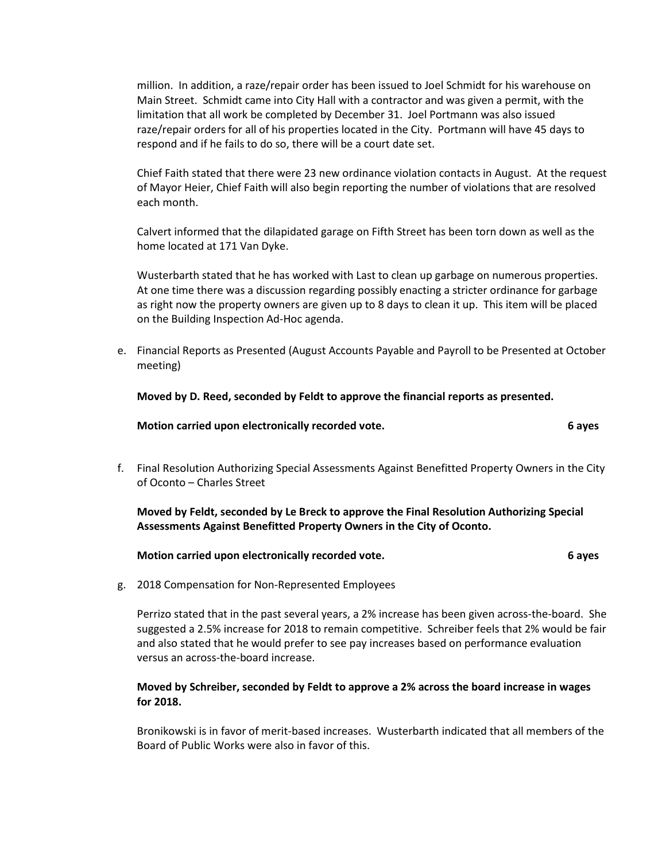million. In addition, a raze/repair order has been issued to Joel Schmidt for his warehouse on Main Street. Schmidt came into City Hall with a contractor and was given a permit, with the limitation that all work be completed by December 31. Joel Portmann was also issued raze/repair orders for all of his properties located in the City. Portmann will have 45 days to respond and if he fails to do so, there will be a court date set.

Chief Faith stated that there were 23 new ordinance violation contacts in August. At the request of Mayor Heier, Chief Faith will also begin reporting the number of violations that are resolved each month.

Calvert informed that the dilapidated garage on Fifth Street has been torn down as well as the home located at 171 Van Dyke.

Wusterbarth stated that he has worked with Last to clean up garbage on numerous properties. At one time there was a discussion regarding possibly enacting a stricter ordinance for garbage as right now the property owners are given up to 8 days to clean it up. This item will be placed on the Building Inspection Ad-Hoc agenda.

e. Financial Reports as Presented (August Accounts Payable and Payroll to be Presented at October meeting)

**Moved by D. Reed, seconded by Feldt to approve the financial reports as presented.**

**Motion carried upon electronically recorded vote. 6 ayes**

f. Final Resolution Authorizing Special Assessments Against Benefitted Property Owners in the City of Oconto – Charles Street

**Moved by Feldt, seconded by Le Breck to approve the Final Resolution Authorizing Special Assessments Against Benefitted Property Owners in the City of Oconto.**

| Motion carried upon electronically recorded vote. | 6 aves |
|---------------------------------------------------|--------|
|---------------------------------------------------|--------|

g. 2018 Compensation for Non-Represented Employees

Perrizo stated that in the past several years, a 2% increase has been given across-the-board. She suggested a 2.5% increase for 2018 to remain competitive. Schreiber feels that 2% would be fair and also stated that he would prefer to see pay increases based on performance evaluation versus an across-the-board increase.

#### **Moved by Schreiber, seconded by Feldt to approve a 2% across the board increase in wages for 2018.**

Bronikowski is in favor of merit-based increases. Wusterbarth indicated that all members of the Board of Public Works were also in favor of this.